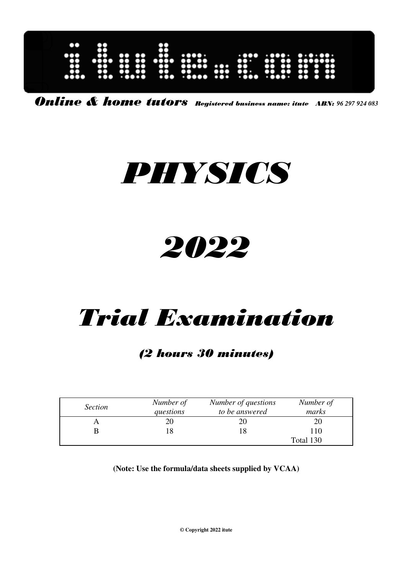| 00<br><br>X<br>$\bullet\bullet$ | 8<br>$\bullet$<br>$\bullet$<br>$\bullet\bullet\bullet$ | . .<br>$\bullet$<br>$\bullet$<br>$\mathbf{O}$<br>. 0000 | $\bullet\bullet$<br><br>$\bullet$<br>$\bullet$<br>$\bullet\bullet\bullet$ | $\cdots$<br>$\bullet\bullet\bullet\bullet$<br>$\bullet\bullet\bullet\bullet\bullet$<br>80<br>$\ddotsc$ | <br>$\bullet\bullet\bullet$ | <br>$\bullet\bullet\bullet$<br>$\bullet\bullet\cdot$<br> | 60<br>$\mathbf{r}$<br>$\mathbf{G}$<br>$\bullet$<br>$\cdots$ | $\cdot\cdot\cdot\cdot\cdot\cdot\cdot\cdot\cdot\cdot$<br><br>$\bullet\bullet$<br>$\bullet$<br>$\bullet$<br>$\bullet\bullet$<br>-0<br>$\bullet\bullet$<br>$\bullet$<br>$\bullet$ |  |
|---------------------------------|--------------------------------------------------------|---------------------------------------------------------|---------------------------------------------------------------------------|--------------------------------------------------------------------------------------------------------|-----------------------------|----------------------------------------------------------|-------------------------------------------------------------|--------------------------------------------------------------------------------------------------------------------------------------------------------------------------------|--|
|                                 |                                                        |                                                         |                                                                           |                                                                                                        |                             |                                                          |                                                             |                                                                                                                                                                                |  |

Online & home tutors Registered business name: itute ABN: *96 297 924 083* 

# PHYSICS

# 2022

# Trial Examination

# (2 hours 30 minutes)

| <i>Section</i> | Number of<br>questions | Number of questions<br>to be answered | Number of<br>marks |
|----------------|------------------------|---------------------------------------|--------------------|
|                |                        |                                       |                    |
|                | 8                      |                                       |                    |
|                |                        |                                       | Total 130          |

**(Note: Use the formula/data sheets supplied by VCAA)** 

**© Copyright 2022 itute**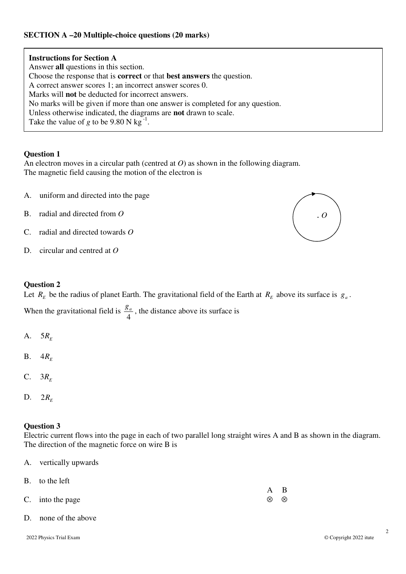# **SECTION A –20 Multiple-choice questions (20 marks)**

**Instructions for Section A**  Answer **all** questions in this section. Choose the response that is **correct** or that **best answers** the question. A correct answer scores 1; an incorrect answer scores 0. Marks will **not** be deducted for incorrect answers. No marks will be given if more than one answer is completed for any question. Unless otherwise indicated, the diagrams are **not** drawn to scale. Take the value of *g* to be 9.80 N kg<sup>-1</sup>.

#### **Question 1**

An electron moves in a circular path (centred at *O*) as shown in the following diagram. The magnetic field causing the motion of the electron is

- A. uniform and directed into the page
- B. radial and directed from *O* (a) and *O*
- $\mathcal{C}$ C. radial and directed towards *O*
- D. circular and centred at *O*

#### **Question 2**

Let  $R_E$  be the radius of planet Earth. The gravitational field of the Earth at  $R_E$  above its surface is  $g_a$ .

When the gravitational field is 4  $\frac{g_a}{f}$ , the distance above its surface is

- A.  $5R_E$
- B.  $4R_E$
- C.  $3R_E$
- D. 2 $R$ <sub>E</sub>

#### **Question 3**

Electric current flows into the page in each of two parallel long straight wires A and B as shown in the diagram. The direction of the magnetic force on wire B is

A. vertically upwards

| B. to the left   |     |           |
|------------------|-----|-----------|
|                  | A B |           |
| C. into the page | ⊗   | $\otimes$ |
|                  |     |           |

D. none of the above

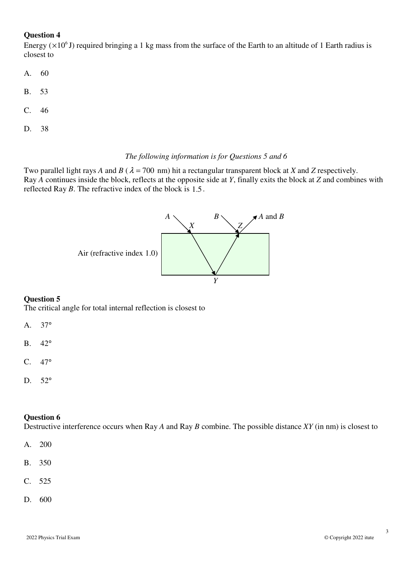Energy ( $\times 10^6$  J) required bringing a 1 kg mass from the surface of the Earth to an altitude of 1 Earth radius is closest to

- A. 60
- B. 53
- C. 46
- D. 38

#### *The following information is for Questions 5 and 6*

Two parallel light rays *A* and *B* ( $\lambda$  = 700 nm) hit a rectangular transparent block at *X* and *Z* respectively. Ray *A* continues inside the block, reflects at the opposite side at *Y*, finally exits the block at *Z* and combines with reflected Ray *B*. The refractive index of the block is 1.5.



## **Question 5**

The critical angle for total internal reflection is closest to

- A. 37°
- B. 42°
- C. 47°
- D. 52°

#### **Question 6**

Destructive interference occurs when Ray *A* and Ray *B* combine. The possible distance *XY* (in nm) is closest to

- A. 200
- B. 350
- C. 525
- D. 600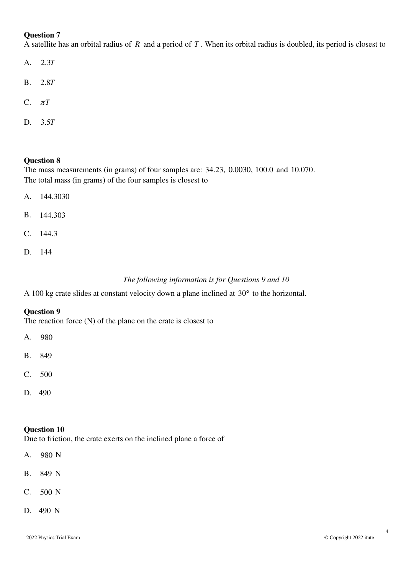A satellite has an orbital radius of *R* and a period of *T* . When its orbital radius is doubled, its period is closest to

- A. 2.3T
- B. 2.8T
- C. π*T*
- D. 5.3 *T*

#### **Question 8**

The mass measurements (in grams) of four samples are: 34.23, 0.0030, 100.0 and 10.070. The total mass (in grams) of the four samples is closest to

- A. 144.3030
- B. 144.303
- C. 144.3
- D. 144

## *The following information is for Questions 9 and 10*

A 100 kg crate slides at constant velocity down a plane inclined at 30° to the horizontal.

#### **Question 9**

The reaction force (N) of the plane on the crate is closest to

- A. 980
- B. 849
- C. 500
- D. 490

#### **Question 10**

Due to friction, the crate exerts on the inclined plane a force of

- A. 980 N
- B. 849 N
- C. 500 N
- D. 490 N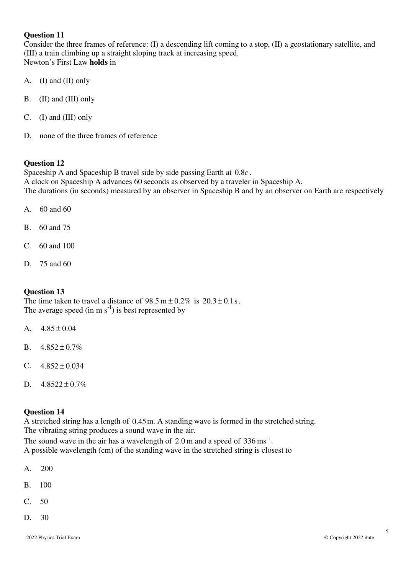Consider the three frames of reference: (I) a descending lift coming to a stop, (II) a geostationary satellite, and (III) a train climbing up a straight sloping track at increasing speed. Newton's First Law **holds** in

- A. (I) and (II) only
- B. (II) and (III) only
- C. (I) and (III) only
- D. none of the three frames of reference

## **Question 12**

Spaceship A and Spaceship B travel side by side passing Earth at  $0.8c$ . A clock on Spaceship A advances 60 seconds as observed by a traveler in Spaceship A. The durations (in seconds) measured by an observer in Spaceship B and by an observer on Earth are respectively

- A. 60 and 60
- B. 60 and 75
- C. 60 and 100
- D. 75 and 60

## **Question 13**

The time taken to travel a distance of  $98.5 \text{ m} \pm 0.2\%$  is  $20.3 \pm 0.1 \text{s}$ . The average speed (in m  $s^{-1}$ ) is best represented by

- A.  $4.85 \pm 0.04$
- B.  $4.852 \pm 0.7\%$
- C.  $4.852 \pm 0.034$
- D.  $4.8522 \pm 0.7\%$

#### **Question 14**

A stretched string has a length of  $0.45$  m. A standing wave is formed in the stretched string. The vibrating string produces a sound wave in the air.

The sound wave in the air has a wavelength of  $2.0 \text{ m}$  and a speed of  $336 \text{ ms}^{-1}$ . A possible wavelength (cm) of the standing wave in the stretched string is closest to

- A. 200
- B. 100
- C. 50
- D. 30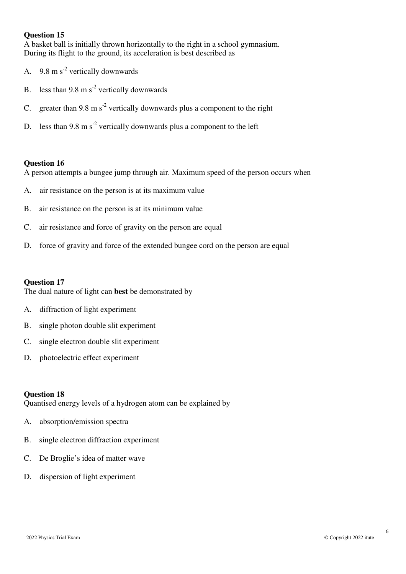A basket ball is initially thrown horizontally to the right in a school gymnasium. During its flight to the ground, its acceleration is best described as

- A.  $9.8 \text{ m s}^2$  vertically downwards
- B. less than 9.8 m  $s^2$  vertically downwards
- C. greater than 9.8 m  $s^2$  vertically downwards plus a component to the right
- D. less than 9.8 m  $s^{-2}$  vertically downwards plus a component to the left

#### **Question 16**

A person attempts a bungee jump through air. Maximum speed of the person occurs when

- A. air resistance on the person is at its maximum value
- B. air resistance on the person is at its minimum value
- C. air resistance and force of gravity on the person are equal
- D. force of gravity and force of the extended bungee cord on the person are equal

#### **Question 17**

The dual nature of light can **best** be demonstrated by

- A. diffraction of light experiment
- B. single photon double slit experiment
- C. single electron double slit experiment
- D. photoelectric effect experiment

#### **Question 18**

Quantised energy levels of a hydrogen atom can be explained by

- A. absorption/emission spectra
- B. single electron diffraction experiment
- C. De Broglie's idea of matter wave
- D. dispersion of light experiment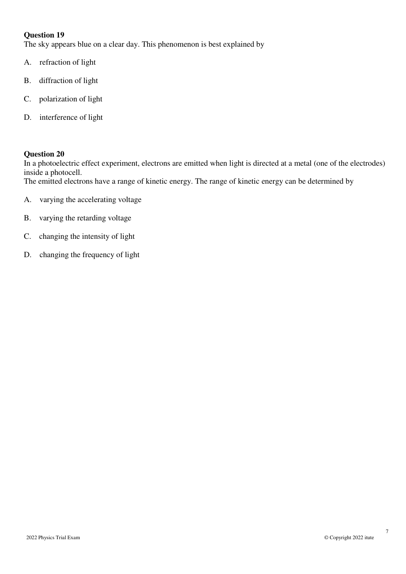The sky appears blue on a clear day. This phenomenon is best explained by

- A. refraction of light
- B. diffraction of light
- C. polarization of light
- D. interference of light

#### **Question 20**

In a photoelectric effect experiment, electrons are emitted when light is directed at a metal (one of the electrodes) inside a photocell.

The emitted electrons have a range of kinetic energy. The range of kinetic energy can be determined by

- A. varying the accelerating voltage
- B. varying the retarding voltage
- C. changing the intensity of light
- D. changing the frequency of light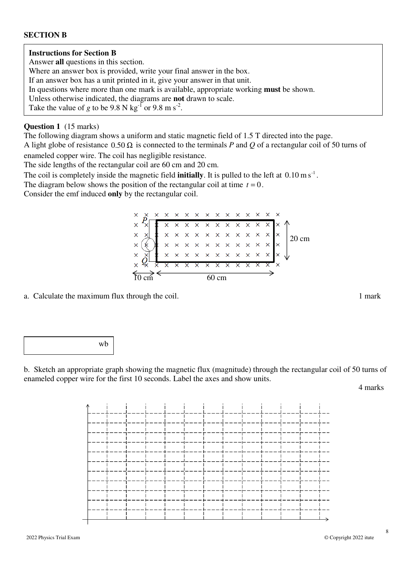#### **SECTION B**

#### **Instructions for Section B**

Answer **all** questions in this section.

Where an answer box is provided, write your final answer in the box.

If an answer box has a unit printed in it, give your answer in that unit.

In questions where more than one mark is available, appropriate working **must** be shown.

Unless otherwise indicated, the diagrams are **not** drawn to scale.

Take the value of *g* to be 9.8 N kg<sup>-1</sup> or 9.8 m s<sup>-2</sup>.

#### **Question 1** (15 marks)

The following diagram shows a uniform and static magnetic field of 1.5 T directed into the page.

A light globe of resistance  $0.50 \Omega$  is connected to the terminals *P* and *Q* of a rectangular coil of 50 turns of enameled copper wire. The coil has negligible resistance.

The side lengths of the rectangular coil are 60 cm and 20 cm.

The coil is completely inside the magnetic field **initially**. It is pulled to the left at  $0.10 \text{ m s}^{-1}$ .

The diagram below shows the position of the rectangular coil at time  $t = 0$ .

Consider the emf induced **only** by the rectangular coil.

 $\mathbf{\times}$  $X$   $X$   $X$   $X$   $X$   $X$  $\times\hspace{0.1cm} \times \hspace{0.1cm} \times \hspace{0.1cm} \times \hspace{0.1cm} \times \hspace{0.1cm} \times \hspace{0.1cm} \times \hspace{0.1cm} \times \hspace{0.1cm} \times \hspace{0.1cm} \times \hspace{0.1cm} \hspace{0.1cm} \hspace{0.1cm} \hspace{0.1cm} \hspace{0.1cm} \hspace{0.1cm} \hspace{0.1cm} \hspace{0.1cm} \hspace{0.1cm} \hspace{0.1cm} \hspace{0.1cm} \hspace{0.1cm} \hspace{0.1cm} \hs$  $\mathbf{\times}$  $\overline{\mathbf{x}}$  20 cm  $10 \text{ cm}$  60 cm

a. Calculate the maximum flux through the coil. 1 mark



b. Sketch an appropriate graph showing the magnetic flux (magnitude) through the rectangular coil of 50 turns of enameled copper wire for the first 10 seconds. Label the axes and show units.

4 marks

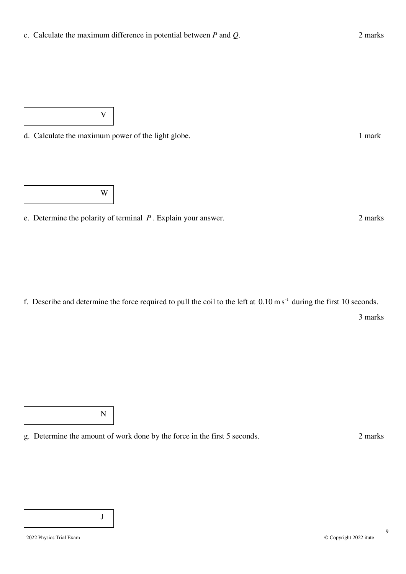d. Calculate the maximum power of the light globe. 1 mark

V

W

e. Determine the polarity of terminal *P* . Explain your answer. 2 marks

f. Describe and determine the force required to pull the coil to the left at  $0.10 \text{ m s}^{-1}$  during the first 10 seconds.

3 marks

N

g. Determine the amount of work done by the force in the first 5 seconds. 2 marks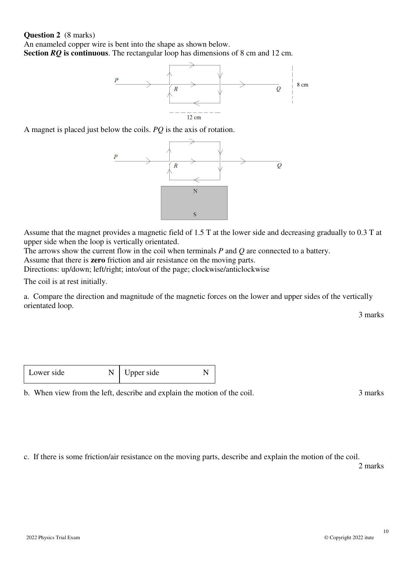#### **Question 2** (8 marks)

An enameled copper wire is bent into the shape as shown below. **Section** *RQ* **is continuous**. The rectangular loop has dimensions of 8 cm and 12 cm.



A magnet is placed just below the coils. *PQ* is the axis of rotation.



Assume that the magnet provides a magnetic field of 1.5 T at the lower side and decreasing gradually to 0.3 T at upper side when the loop is vertically orientated.

The arrows show the current flow in the coil when terminals *P* and *Q* are connected to a battery.

Assume that there is **zero** friction and air resistance on the moving parts.

Directions: up/down; left/right; into/out of the page; clockwise/anticlockwise

The coil is at rest initially.

a. Compare the direction and magnitude of the magnetic forces on the lower and upper sides of the vertically orientated loop.

3 marks

| Lower side |  | pper side |  |
|------------|--|-----------|--|
|------------|--|-----------|--|

b. When view from the left, describe and explain the motion of the coil. 3 marks

c. If there is some friction/air resistance on the moving parts, describe and explain the motion of the coil.

2 marks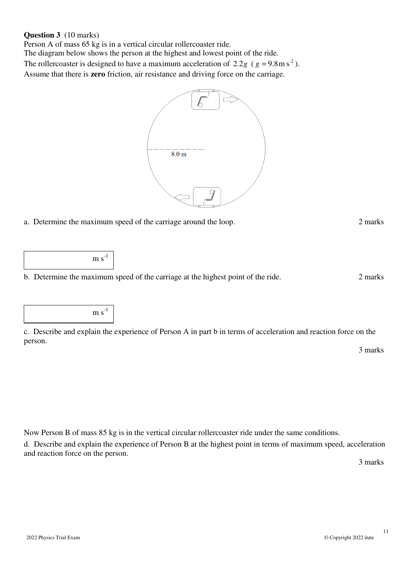#### **Question 3** (10 marks)

Person A of mass 65 kg is in a vertical circular rollercoaster ride.

The diagram below shows the person at the highest and lowest point of the ride. The rollercoaster is designed to have a maximum acceleration of  $2.2g$  ( $g = 9.8 \text{ m s}^2$ ). Assume that there is **zero** friction, air resistance and driving force on the carriage.



a. Determine the maximum speed of the carriage around the loop. 2 marks

 $m s<sup>-1</sup>$ 

b. Determine the maximum speed of the carriage at the highest point of the ride. 2 marks

 $m s^{-1}$ 

c. Describe and explain the experience of Person A in part b in terms of acceleration and reaction force on the person.

3 marks

Now Person B of mass 85 kg is in the vertical circular rollercoaster ride under the same conditions.

d. Describe and explain the experience of Person B at the highest point in terms of maximum speed, acceleration and reaction force on the person.

3 marks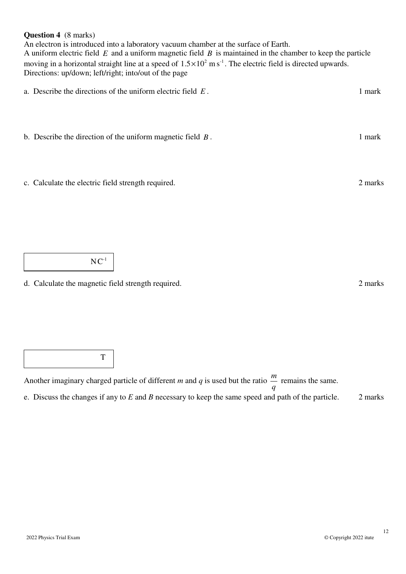#### **Question 4** (8 marks)

An electron is introduced into a laboratory vacuum chamber at the surface of Earth. A uniform electric field *E* and a uniform magnetic field *B* is maintained in the chamber to keep the particle moving in a horizontal straight line at a speed of  $1.5 \times 10^2$  m s<sup>-1</sup>. The electric field is directed upwards. Directions: up/down; left/right; into/out of the page

| a. Describe the directions of the uniform electric field $E$ . | 1 mark  |
|----------------------------------------------------------------|---------|
| b. Describe the direction of the uniform magnetic field $B$ .  | 1 mark  |
| c. Calculate the electric field strength required.             | 2 marks |

 $NC^{-1}$ 

d. Calculate the magnetic field strength required. 2 marks

T

Another imaginary charged particle of different *m* and *q* is used but the ratio *q m* remains the same. e. Discuss the changes if any to *E* and *B* necessary to keep the same speed and path of the particle. 2 marks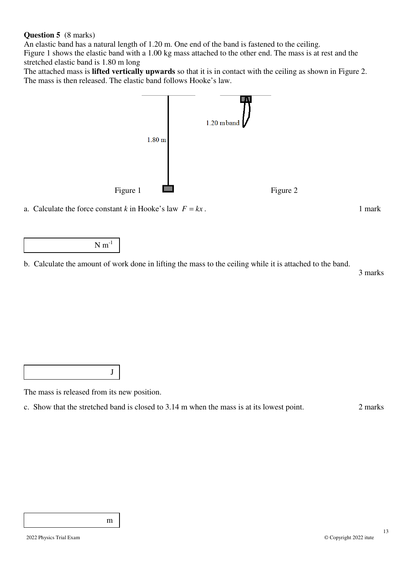#### **Question 5** (8 marks)

An elastic band has a natural length of 1.20 m. One end of the band is fastened to the ceiling.

Figure 1 shows the elastic band with a 1.00 kg mass attached to the other end. The mass is at rest and the stretched elastic band is 1.80 m long

The attached mass is **lifted vertically upwards** so that it is in contact with the ceiling as shown in Figure 2. The mass is then released. The elastic band follows Hooke's law.



a. Calculate the force constant *k* in Hooke's law  $F = kx$ . 1 mark

 $N m^{-1}$ 

b. Calculate the amount of work done in lifting the mass to the ceiling while it is attached to the band.

3 marks

J

The mass is released from its new position.

c. Show that the stretched band is closed to 3.14 m when the mass is at its lowest point. 2 marks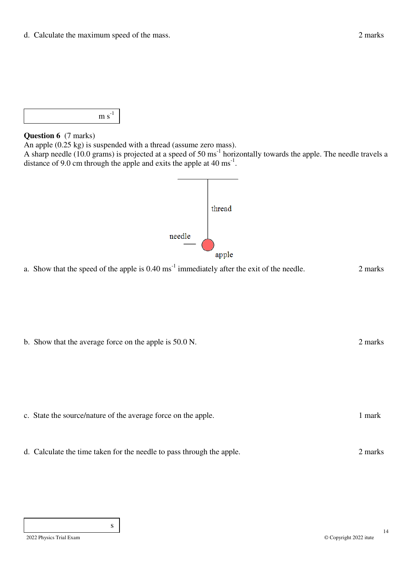

#### **Question 6** (7 marks)

An apple (0.25 kg) is suspended with a thread (assume zero mass).

A sharp needle (10.0 grams) is projected at a speed of 50  $\text{ms}^{-1}$  horizontally towards the apple. The needle travels a distance of 9.0 cm through the apple and exits the apple at 40 ms<sup>-1</sup>.



a. Show that the speed of the apple is  $0.40 \text{ ms}^{-1}$  immediately after the exit of the needle. 2 marks

b. Show that the average force on the apple is 50.0 N. 2 marks 2 marks

- c. State the source/nature of the average force on the apple. 1 mark
- d. Calculate the time taken for the needle to pass through the apple. 2 marks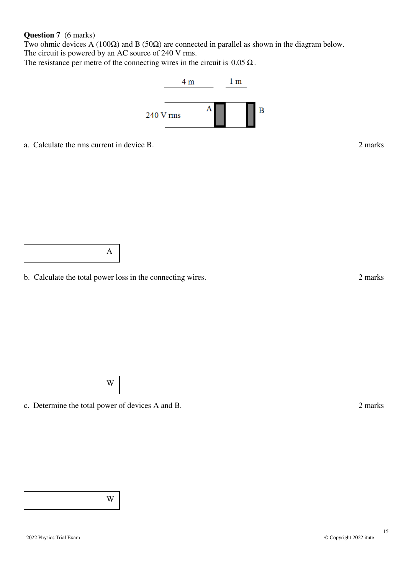#### **Question 7** (6 marks)

Two ohmic devices A (100 $\Omega$ ) and B (50 $\Omega$ ) are connected in parallel as shown in the diagram below. The circuit is powered by an AC source of 240 V rms.

The resistance per metre of the connecting wires in the circuit is  $0.05 \Omega$ .



a. Calculate the rms current in device B. 2 marks

A

b. Calculate the total power loss in the connecting wires. 2 marks 2 marks

W

c. Determine the total power of devices A and B. 2 marks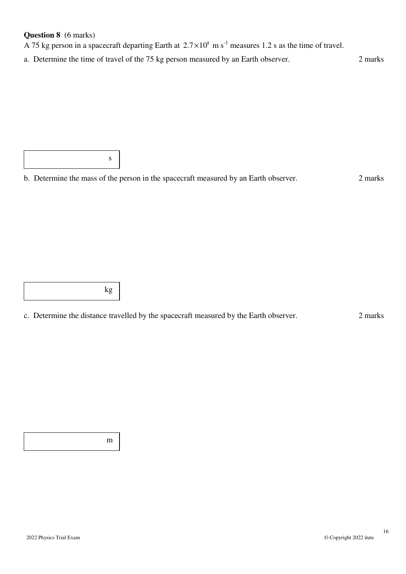# **Question 8** (6 marks)

A 75 kg person in a spacecraft departing Earth at  $2.7 \times 10^8$  m s<sup>-1</sup> measures 1.2 s as the time of travel.

a. Determine the time of travel of the 75 kg person measured by an Earth observer. 2 marks

s

# b. Determine the mass of the person in the spacecraft measured by an Earth observer. 2 marks

kg

c. Determine the distance travelled by the spacecraft measured by the Earth observer. 2 marks

m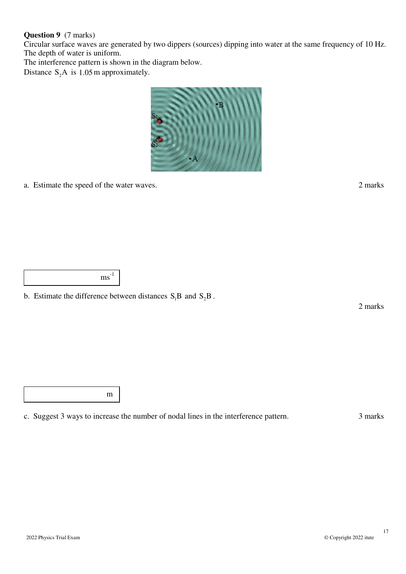#### **Question 9** (7 marks)

Circular surface waves are generated by two dippers (sources) dipping into water at the same frequency of 10 Hz. The depth of water is uniform.

The interference pattern is shown in the diagram below.

Distance  $S_2A$  is 1.05 m approximately.



a. Estimate the speed of the water waves. 2 marks

 $\text{ms}^{-1}$ 

b. Estimate the difference between distances  $S_1B$  and  $S_2B$ .

2 marks

m

c. Suggest 3 ways to increase the number of nodal lines in the interference pattern. 3 marks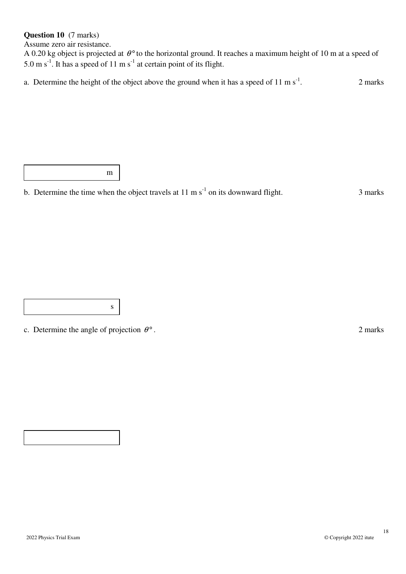# **Question 10** (7 marks)

Assume zero air resistance.

A 0.20 kg object is projected at  $\theta$ <sup>o</sup> to the horizontal ground. It reaches a maximum height of 10 m at a speed of 5.0 m s<sup>-1</sup>. It has a speed of 11 m s<sup>-1</sup> at certain point of its flight.

a. Determine the height of the object above the ground when it has a speed of  $11 \text{ m s}^{-1}$ . 2 marks

m

b. Determine the time when the object travels at  $11 \text{ m s}^{-1}$  on its downward flight. 3 marks

c. Determine the angle of projection  $\theta^{\circ}$ . 2 marks

s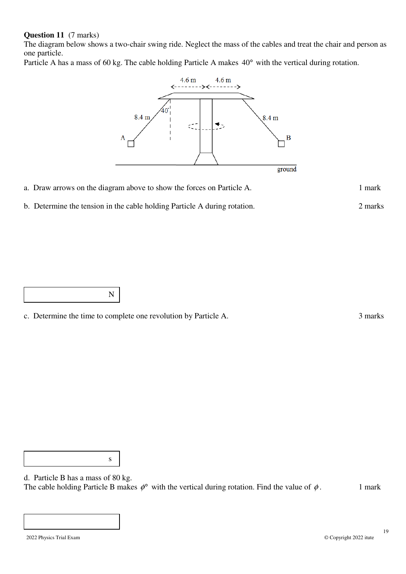#### **Question 11** (7 marks)

The diagram below shows a two-chair swing ride. Neglect the mass of the cables and treat the chair and person as one particle.

Particle A has a mass of 60 kg. The cable holding Particle A makes 40° with the vertical during rotation.



| a. Draw arrows on the diagram above to show the forces on Particle A. | 1 mark |
|-----------------------------------------------------------------------|--------|
|-----------------------------------------------------------------------|--------|

b. Determine the tension in the cable holding Particle A during rotation. 2 marks

N

c. Determine the time to complete one revolution by Particle A. 3 marks

s

d. Particle B has a mass of 80 kg. The cable holding Particle B makes  $\phi^{\circ}$  with the vertical during rotation. Find the value of  $\phi$ . 1 mark

Γ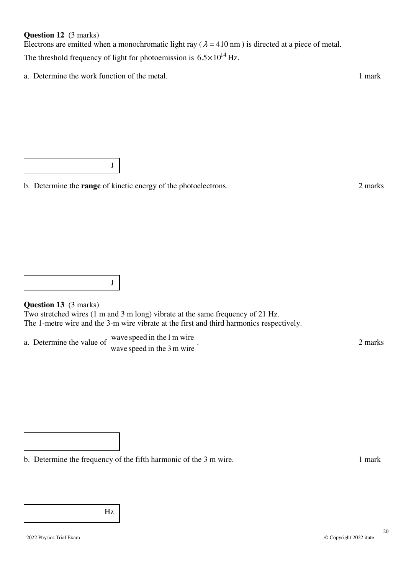#### **Question 12** (3 marks)

Electrons are emitted when a monochromatic light ray ( $\lambda = 410$  nm) is directed at a piece of metal. The threshold frequency of light for photoemission is  $6.5 \times 10^{14}$  Hz.

a. Determine the work function of the metal. 1 mark

J

b. Determine the **range** of kinetic energy of the photoelectrons. 2 marks

J

#### **Question 13** (3 marks)

Two stretched wires (1 m and 3 m long) vibrate at the same frequency of 21 Hz. The 1-metre wire and the 3-m wire vibrate at the first and third harmonics respectively.

a. Determine the value of  $\frac{\text{wave speed in the 1 m wire}}{1 \cdot 1 \cdot 2 \cdot 2 \cdot 2}$ . wave speed in the 3 m wire

b. Determine the frequency of the fifth harmonic of the 3 m wire. 1 mark

Hz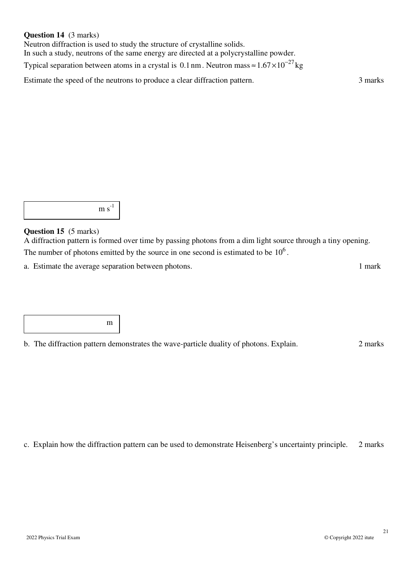#### **Question 14** (3 marks)

Neutron diffraction is used to study the structure of crystalline solids. In such a study, neutrons of the same energy are directed at a polycrystalline powder. Typical separation between atoms in a crystal is 0.1 nm. Neutron mass ≈  $1.67 \times 10^{-27}$  kg

Estimate the speed of the neutrons to produce a clear diffraction pattern. 3 marks

 $m s<sup>-1</sup>$ 

#### **Question 15** (5 marks)

A diffraction pattern is formed over time by passing photons from a dim light source through a tiny opening. The number of photons emitted by the source in one second is estimated to be  $10^6$ .

a. Estimate the average separation between photons. 1 mark

m

b. The diffraction pattern demonstrates the wave-particle duality of photons. Explain. 2 marks

c. Explain how the diffraction pattern can be used to demonstrate Heisenberg's uncertainty principle. 2 marks